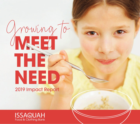# Prowing THE NEED

2019 Impact Report

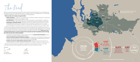2019 was a year of productivity and growth for the Issaquah Food & Clothing Bank, accompanied by the humbling reminder of how extensive the need is in our region. We are encouraged by you, our dedicated volunteers and generous donors who are the heart of this organization.

**With your help, we've made some great strides:**

- **• Mobile Food Bank**—In 2019, we successfully piloted our Mobile Food Bank, allowing us to meet those in need exactly where they are and reduce waste.
- New Warehouse—In late August of 2018, we moved all long-term non-perishables to a 3,000 sq. ft. warehouse to better utilize our primary space, increase service capacity, and reach more people.
- **Expanding our Self-Select Model**—Starting in the summer of 2019, we transitioned both our Lunch for the Break and Summer Lunch programs to the same self-select model we use in our market, increasing dignity and enabling us to offer a wider selection of healthy food to our youngest clients.

Cori Walters Tom Ehlers Executive Director **Board Chair** 

This



In 2019, we completed an extensive analysis using data from the Issaquah School District, Census, and Community Needs Assessment. Results indicate that, as of early 2020, we were meeting just 21% of the need in our community. With the loss of income and other factors disproportionately affecting those in mid-to-low income brackets as a result of the COVID-19 pandemic, that gap continues to widen. **Thank you for your continued partnership as we pivot to address this increased need both immediately and for the longterm. Here are just a few of those initiatives:**

- Continually evaluating programs and processes to ensure the **safest possible distribution** of basic needs resources given our limited facility capacity.
- **• Launch the Mobile Integrated Healthcare program.** In collaboration with Eastside Fire & Rescue, this program helps identify those in crisis and assists them in navigating the complex network of service providers. We are hoping this program will be safe to start by late 2020.
- **• Continue to seek out a viable facility expansion option.** Simply put, we are out of space in our current facility, which creates a significant constraint on our ability to meet the true need around us.

We hope you find this report encouraging, knowing that you are making an impact on over 5,000 community members and that, together, we will reach more and more of those in need.

Gratefully,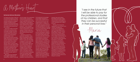As he expands his knowledge of the English language, he hopes to get a license and his own tools so that he can work independently. For Maria, she hopes to grow in confidence in her English language proficiency and gain experience in her new accounting profession by helping a local non-profit before officially launching her new career.

With the help of the Issaquah Food & Clothing Bank, Issaquah Community Services, and Open Door Multi Families, Maria and her family were able to find help accessing food, housing, and rental assistance during the early months of their transition. Maria explained, "I met Erin and Rebecca [at the Issaquah Food & Clothing Bank], who listened to me and supported me in the food service and payment of my rent when I was in an emergency and also with clothes for bad weather. Rebecca supported us to find transportation and coordinate with an agency called Furniture Bank to give us furniture; beds and everything related to the needs of a home, because we arrived in the

#### By Bonnie DeCaro-Monahan

For anyone who loves a child, you at school again. The combination know that the lengths you will go to protect and care for them can exceed anything you imagined possible. For Maria and her husband, they learned first-hand what that would entail when their lives where turned upside down by a criminal.

of the traumatic experience and the language barrier have made it especially difficult for the children to feel comfortable in social settings. Maria shared her heart's desire that her children would be "…more confident, that they feel accepted by their culture, and that they can have a group of friends to grow up with like any other normal child without fear that they may be harmed."

They lived a rather normal life in their home country; he was a biologist working in the area of food and quality control for a supermarket chain and she worked as an administrative assistant. Sadly, a man traumatized the family and their safety and security was no longer assured. Depression hit and the need to protect their children became the focus of every decision. When a judicial ruling resulted in the early release of the criminal who harmed their family, his freedom threatened theirs. They felt forced to flee to the United States and are still seeking the support of an attorney who can help them gain asylum in this country.

With support from therapists their biggest challenge was helping their children to feel safe

 "Among all the things that happened to us in the past, since I met Erin and Rebecca, I have been very grateful to God for having helped me to start again here in this country." Shared Maria, adding, "I see in the future that I will be able to pay for the professional studies of my children, and that they can be successful in their personal lives. I also see myself supporting the Hispanic communities and Issaquah Food Bank in everything that is required for people who are just starting out like me, so that they can feel that life has meaning and that they are not alone. God always tests us, he put people like Erin and Rebecca in my life to know that life has a meaning and not everything is lost. Thank you, Issaquah Food Bank, for all this great effort that you did and are doing for my family."

The family moved first to Kalamazoo, Michigan, where Maria immediately enrolled in English classes. After studying there for a year, they relocated to Issaquah to follow a job offer that Maria received. Maria has continued her English and accounting studies, now as a full-time student at Bellevue College and her husband is currently enrolled in online classes. Working as a painter and in construction in the U.S., he has found that the language barrier and weather delays can significantly affect the consistency of work, creating instability in their family income.

A Mother's Heart

Issaquah area with nothing. My children have been invited and included to receive gifts for Christmas and for the birthday of my son, they gave him a cake in his name."

4

"I see in the future that I will be able to pay for the professional studies of my children, and that they can be successful in their personal lives."

-Maria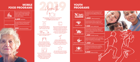## **MOBILE FOOD PROGRAMS**

## **PROGRAMS**



**2019 LUNCH FOR THE BEST OF THE BEST OF THE DESCRIPTION OF THE DESCRIPTION OF THE DESCRIPTION SCRIPTION AND A CONTROL CONTROL OF THE DESCRIPTION SCRIPTION OF THE DESCRIPTION OF THE OF THE DESCRIPTION OF THE OF THE CONTROL** Onowth **PROGR** The food bank brought in 1.6 million pounds of food; a 28% increase over 2018 Youth and mobile food programs grew an average of 41% We successfully piloted a Mobile Food Bank program and started 2020 in two different communities twice per month with a "pop-up" food bank We transitioned both our Summer Lunch and Lunch for the Break programs indoors to our market We've partnered with Eastside Fire & Rescue to implement a Mobile Integrated Healthcare program, which helps identify needs around us and provides longer-term solutions for community members that are currently using 911 A donor implemented the Issaquah-Sammamish Food Project, rallying neighborhood coordinators to help collect in-kind donations every two months. Our volunteer hours increased 18% with volunteer time equaling 13 full-time employees in 2019 We served 18% more people in our food bank with **57,523** individual food bank visits and **1,279** households served



and began to provide families a self-select model with more and healthier options

6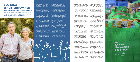## **BOB GRAY LEADERSHIP AWARD**

#### **Jim & Chris Berry—2019 Winners**

In honor of our late Founder, Bob Gray, we recognize those who exemplify his compassion, commitment, and selflessness in pursuit of our mission.

Who ever said that magical things couldn't come from a blind date? Chris & Jim Berry's 50-year marriage started this way and together, they are a force for good. At some point in time, Jim has been involved in many of the major non-profit organizations and service groups in our community, and since her retirement from 48 years as a nurse, Chris has jumped in as well. We feel so fortunate that they have chosen the Issaquah Food & Clothing Bank as one of the main organizations to which they give their time and energy.

Jim first became involved at the Issaquah Food & Clothing Bank over 10 years ago by volunteering in the food bank and Jim learned that college friends representing the Issaquah Rotary at annual Mayors' Month of Concern food drives. Having what Olympia and Jim went down to is now 25 years of experience with the Salmon Days Run, Jim was quick to lend his expertise

to Heather Matthews, founder of the Issaquah Turkey Trot, to assist in her efforts to raise funds and awareness for the Issaquah Food & Clothing Bank. For the past 9 years, Jim has been instrumental in creating sustainable practices for growth, planning and preparing routes, and connecting with neighbors and businesses along the route to help make the Issaquah Turkey Trot as safe and successful as possible. Whether he is riding his bike along the route pre-event or watching a solid stream of people run down Front Street Thanksgiving morning, Jim says, "It's one of my best days of the year!"

About 5 years ago, Chris & of theirs had founded the Thurston County Food Project in observe. This idea brewed until Chris retired from her 41 years at Swedish Hospital in October of

2018 and they felt prepared to take it on themselves. They visited Food Project founders in Ashland, Oregon, as well as spin-off projects in Oregon and Arizona. The Food Project founders had done all the heavy lifting, creating turnkey resources to make it relatively easy for others to replicate what they were doing. Chris and Jim committed themselves to keeping the Issaquah Sammamish Food Project as simple as possible, both for themselves and for the Neighborhood Coordinators who

are instrumental in the project. Chris and Jim officially launched the Issaquah Sammamish Food Project in the Spring of 2019. Since that time, they have rallied 32 Neighborhood Coordinators and over 300 local community members to provide approximately 13,000 pounds of food for the Issaquah Food & Clothing Bank! Jim's desire is to grow the project as big as the community can support with the hope of finding people who are excited about joining them in a leadership role in the Food Project, including helping with collection dates and Neighborhood Coordinator recruitment.

"There are so many wonderful people in this world and there are so many unsettling things going on in the world. But at the grassroots, we are a really good, caring, generous community and it's uplifting to meet people that want to be a part of making a difference and helping to

improve the lives of others in need," shared Chris. She is inspired by the Neighborhood Coordinators who already have a lot on their plates, but still choose to get involved, and by their appreciation for the opportunity to participate in such a meaningful project.

In addition to the Issaquah Sammamish Food Project, Chris is involved with Eastside Friends of Seniors, building a relationship with a woman battling cancer, helping her get to support groups and providing companionship. Even though he officially retired 15 years ago, Jim's work ethic hasn't changed. He's been involved with the Issaquah Schools Foundation, Sammamish YMCA, Mountains to Sound Greenway, Youth Mental Health Initiative, and has finally stepped down as a founding member of the Friends of Lake Sammamish State Park Board.

When they're not working to make our community a better place to live, Chris and Jim love to travel, read, go outdoors, gather with friends, and take in Village Theatre. In the fall, they took a 50-year anniversary trip to Europe. They also love time on Kauai and Jim says that he relaxes by "laying on the beach in Hawaii for a month and worrying about when I'm going to turn over!" You've earned it Chris and Jim! Thank you for making such a tremendous impact on our mission to reduce food insecurity in our community!



### the **Issaquah** Sammamish **Food Project**

BUILDING COMMUNITY

**SHARING PUCE**<br>Serving the Issaquah Food and Clothing Bank

7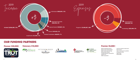







## **OUR FUNDING PARTNERS**



Bellevue Breakfast Rotary Rotary Club of Sammamish Miller Family Dermatology Metropolitan Market Christian Manley Orthodontics Health-E Pro NAES Corporation

First Tech Federal Credit Union Ben & Jerry's Opus Community Foundation Snoqualmie Tribe Wells Fargo McDonalds

#### **Premier \$5,000+**